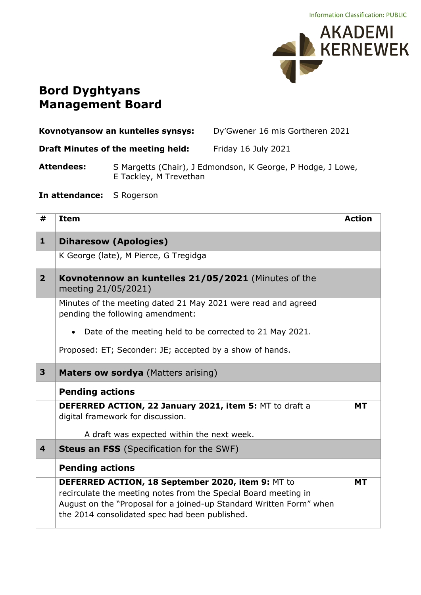

## **Bord Dyghtyans Management Board**

| Dy'Gwener 16 mis Gortheren 2021<br>Kovnotyansow an kuntelles synsys: |  |
|----------------------------------------------------------------------|--|
|----------------------------------------------------------------------|--|

**Draft Minutes of the meeting held:** Friday 16 July 2021

**Attendees:** S Margetts (Chair), J Edmondson, K George, P Hodge, J Lowe, E Tackley, M Trevethan

**In attendance:** S Rogerson

| #                       | <b>Item</b>                                                                                                                                                                                                                                   | <b>Action</b> |
|-------------------------|-----------------------------------------------------------------------------------------------------------------------------------------------------------------------------------------------------------------------------------------------|---------------|
| $\mathbf{1}$            | <b>Diharesow (Apologies)</b>                                                                                                                                                                                                                  |               |
|                         | K George (late), M Pierce, G Tregidga                                                                                                                                                                                                         |               |
| $\overline{2}$          | Kovnotennow an kuntelles 21/05/2021 (Minutes of the<br>meeting 21/05/2021)                                                                                                                                                                    |               |
|                         | Minutes of the meeting dated 21 May 2021 were read and agreed<br>pending the following amendment:                                                                                                                                             |               |
|                         | Date of the meeting held to be corrected to 21 May 2021.                                                                                                                                                                                      |               |
|                         | Proposed: ET; Seconder: JE; accepted by a show of hands.                                                                                                                                                                                      |               |
| 3                       | Maters ow sordya (Matters arising)                                                                                                                                                                                                            |               |
|                         | <b>Pending actions</b>                                                                                                                                                                                                                        |               |
|                         | DEFERRED ACTION, 22 January 2021, item 5: MT to draft a<br>digital framework for discussion.                                                                                                                                                  | <b>MT</b>     |
|                         | A draft was expected within the next week.                                                                                                                                                                                                    |               |
| $\overline{\mathbf{4}}$ | <b>Steus an FSS</b> (Specification for the SWF)                                                                                                                                                                                               |               |
|                         | <b>Pending actions</b>                                                                                                                                                                                                                        |               |
|                         | DEFERRED ACTION, 18 September 2020, item 9: MT to<br>recirculate the meeting notes from the Special Board meeting in<br>August on the "Proposal for a joined-up Standard Written Form" when<br>the 2014 consolidated spec had been published. | <b>MT</b>     |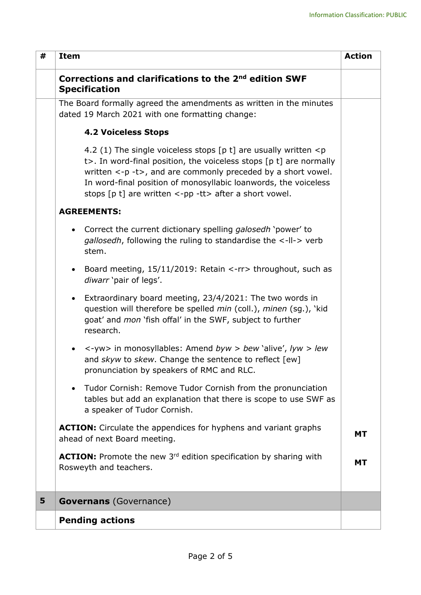| # | <b>Item</b>                                                                                                                                                                                                                                                                                                                                                                             | <b>Action</b> |
|---|-----------------------------------------------------------------------------------------------------------------------------------------------------------------------------------------------------------------------------------------------------------------------------------------------------------------------------------------------------------------------------------------|---------------|
|   | Corrections and clarifications to the 2 <sup>nd</sup> edition SWF<br><b>Specification</b>                                                                                                                                                                                                                                                                                               |               |
|   | The Board formally agreed the amendments as written in the minutes<br>dated 19 March 2021 with one formatting change:                                                                                                                                                                                                                                                                   |               |
|   | <b>4.2 Voiceless Stops</b>                                                                                                                                                                                                                                                                                                                                                              |               |
|   | 4.2 (1) The single voiceless stops [p t] are usually written $\langle p \rangle$<br>t>. In word-final position, the voiceless stops [p t] are normally<br>written $\langle -p - t \rangle$ , and are commonly preceded by a short vowel.<br>In word-final position of monosyllabic loanwords, the voiceless<br>stops $[p t]$ are written $\langle -pp -tt \rangle$ after a short vowel. |               |
|   | <b>AGREEMENTS:</b>                                                                                                                                                                                                                                                                                                                                                                      |               |
|   | Correct the current dictionary spelling <i>galosedh</i> 'power' to<br>$\bullet$<br>gallosedh, following the ruling to standardise the <-II-> verb<br>stem.                                                                                                                                                                                                                              |               |
|   | Board meeting, 15/11/2019: Retain <-rr> throughout, such as<br>$\bullet$<br>diwarr 'pair of legs'.                                                                                                                                                                                                                                                                                      |               |
|   | Extraordinary board meeting, 23/4/2021: The two words in<br>$\bullet$<br>question will therefore be spelled min (coll.), minen (sg.), 'kid<br>goat' and <i>mon</i> 'fish offal' in the SWF, subject to further<br>research.                                                                                                                                                             |               |
|   | <-yw> in monosyllables: Amend byw > bew 'alive', lyw > lew<br>and skyw to skew. Change the sentence to reflect [ew]<br>pronunciation by speakers of RMC and RLC.                                                                                                                                                                                                                        |               |
|   | Tudor Cornish: Remove Tudor Cornish from the pronunciation<br>$\bullet$<br>tables but add an explanation that there is scope to use SWF as<br>a speaker of Tudor Cornish.                                                                                                                                                                                                               |               |
|   | <b>ACTION:</b> Circulate the appendices for hyphens and variant graphs<br>ahead of next Board meeting.                                                                                                                                                                                                                                                                                  | <b>MT</b>     |
|   | <b>ACTION:</b> Promote the new 3 <sup>rd</sup> edition specification by sharing with<br>Rosweyth and teachers.                                                                                                                                                                                                                                                                          | <b>MT</b>     |
| 5 | <b>Governans</b> (Governance)                                                                                                                                                                                                                                                                                                                                                           |               |
|   | <b>Pending actions</b>                                                                                                                                                                                                                                                                                                                                                                  |               |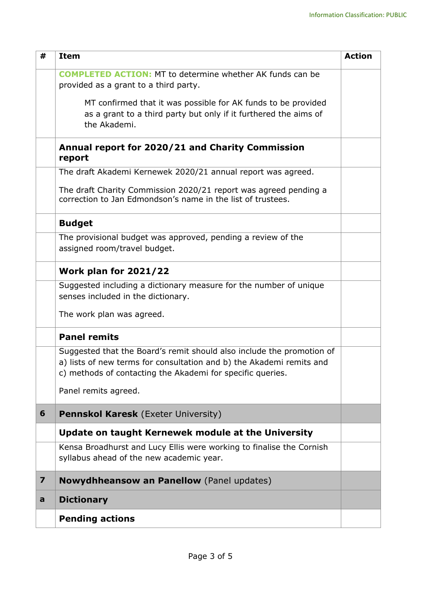| #                       | <b>Item</b>                                                                                                                                                                                                 | <b>Action</b> |
|-------------------------|-------------------------------------------------------------------------------------------------------------------------------------------------------------------------------------------------------------|---------------|
|                         | <b>COMPLETED ACTION:</b> MT to determine whether AK funds can be<br>provided as a grant to a third party.                                                                                                   |               |
|                         | MT confirmed that it was possible for AK funds to be provided<br>as a grant to a third party but only if it furthered the aims of<br>the Akademi.                                                           |               |
|                         | Annual report for 2020/21 and Charity Commission<br>report                                                                                                                                                  |               |
|                         | The draft Akademi Kernewek 2020/21 annual report was agreed.                                                                                                                                                |               |
|                         | The draft Charity Commission 2020/21 report was agreed pending a<br>correction to Jan Edmondson's name in the list of trustees.                                                                             |               |
|                         | <b>Budget</b>                                                                                                                                                                                               |               |
|                         | The provisional budget was approved, pending a review of the<br>assigned room/travel budget.                                                                                                                |               |
|                         | <b>Work plan for 2021/22</b>                                                                                                                                                                                |               |
|                         | Suggested including a dictionary measure for the number of unique<br>senses included in the dictionary.                                                                                                     |               |
|                         | The work plan was agreed.                                                                                                                                                                                   |               |
|                         | <b>Panel remits</b>                                                                                                                                                                                         |               |
|                         | Suggested that the Board's remit should also include the promotion of<br>a) lists of new terms for consultation and b) the Akademi remits and<br>c) methods of contacting the Akademi for specific queries. |               |
|                         | Panel remits agreed.                                                                                                                                                                                        |               |
| 6                       | <b>Pennskol Karesk (Exeter University)</b>                                                                                                                                                                  |               |
|                         | Update on taught Kernewek module at the University                                                                                                                                                          |               |
|                         | Kensa Broadhurst and Lucy Ellis were working to finalise the Cornish<br>syllabus ahead of the new academic year.                                                                                            |               |
| $\overline{\mathbf{z}}$ | Nowydhheansow an Panellow (Panel updates)                                                                                                                                                                   |               |
| a                       | <b>Dictionary</b>                                                                                                                                                                                           |               |
|                         | <b>Pending actions</b>                                                                                                                                                                                      |               |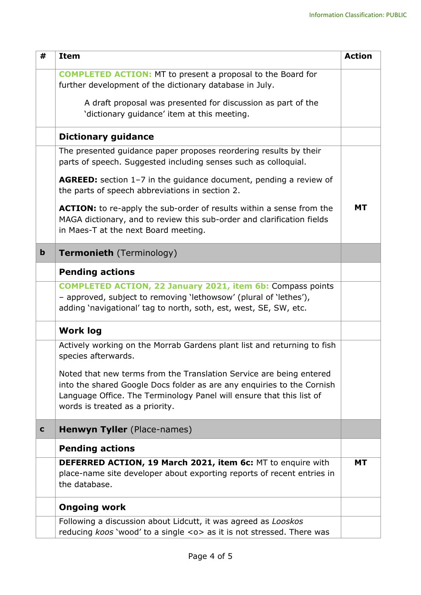| #           | <b>Item</b>                                                                                                                                                                                                                                              | <b>Action</b> |
|-------------|----------------------------------------------------------------------------------------------------------------------------------------------------------------------------------------------------------------------------------------------------------|---------------|
|             | <b>COMPLETED ACTION:</b> MT to present a proposal to the Board for<br>further development of the dictionary database in July.                                                                                                                            |               |
|             | A draft proposal was presented for discussion as part of the<br>'dictionary guidance' item at this meeting.                                                                                                                                              |               |
|             | <b>Dictionary guidance</b>                                                                                                                                                                                                                               |               |
|             | The presented guidance paper proposes reordering results by their<br>parts of speech. Suggested including senses such as colloquial.                                                                                                                     |               |
|             | <b>AGREED:</b> section 1-7 in the guidance document, pending a review of<br>the parts of speech abbreviations in section 2.                                                                                                                              |               |
|             | <b>ACTION:</b> to re-apply the sub-order of results within a sense from the<br>MAGA dictionary, and to review this sub-order and clarification fields<br>in Maes-T at the next Board meeting.                                                            | МT            |
| $\mathbf b$ | <b>Termonieth</b> (Terminology)                                                                                                                                                                                                                          |               |
|             | <b>Pending actions</b>                                                                                                                                                                                                                                   |               |
|             | <b>COMPLETED ACTION, 22 January 2021, item 6b: Compass points</b><br>- approved, subject to removing 'lethowsow' (plural of 'lethes'),<br>adding 'navigational' tag to north, soth, est, west, SE, SW, etc.                                              |               |
|             | <b>Work log</b>                                                                                                                                                                                                                                          |               |
|             | Actively working on the Morrab Gardens plant list and returning to fish<br>species afterwards.                                                                                                                                                           |               |
|             | Noted that new terms from the Translation Service are being entered<br>into the shared Google Docs folder as are any enquiries to the Cornish<br>Language Office. The Terminology Panel will ensure that this list of<br>words is treated as a priority. |               |
| $\mathbf c$ | <b>Henwyn Tyller</b> (Place-names)                                                                                                                                                                                                                       |               |
|             | <b>Pending actions</b>                                                                                                                                                                                                                                   |               |
|             | <b>DEFERRED ACTION, 19 March 2021, item 6c: MT to enquire with</b><br>place-name site developer about exporting reports of recent entries in<br>the database.                                                                                            | <b>MT</b>     |
|             | <b>Ongoing work</b>                                                                                                                                                                                                                                      |               |
|             | Following a discussion about Lidcutt, it was agreed as Looskos<br>reducing koos 'wood' to a single <o> as it is not stressed. There was</o>                                                                                                              |               |